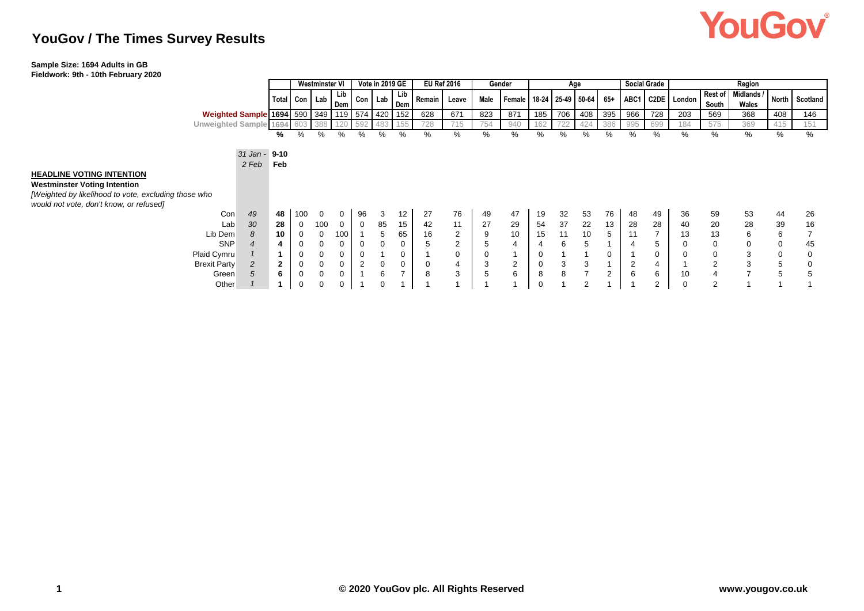# **YouGov**

## **YouGov / The Times Survey Results**

### **Sample Size: 1694 Adults in GB**

**Fieldwork: 9th - 10th February 2020**

|                                                                                                                                 |                                | Vote in 2019 GE<br><b>Westminster VI</b> |     |             |         |    |                | <b>EU Ref 2016</b> | Gender<br>Age  |      |                                      |             |     |                | <b>Social Grade</b> | Region         |             |                  |                         |                     |              |          |
|---------------------------------------------------------------------------------------------------------------------------------|--------------------------------|------------------------------------------|-----|-------------|---------|----|----------------|--------------------|----------------|------|--------------------------------------|-------------|-----|----------------|---------------------|----------------|-------------|------------------|-------------------------|---------------------|--------------|----------|
|                                                                                                                                 |                                | Total Con   Lab   Dem   '                |     | Lib         | Con Lab |    | Lib<br>Dem     | Remain             | Leave          | Male | Female   18-24   25-49   50-64   65+ |             |     |                |                     |                |             | ABC1 C2DE London | <b>Rest of</b><br>South | Midlands /<br>Wales | <b>North</b> | Scotland |
| Weighted Sample 1694 590 349 119                                                                                                |                                |                                          |     |             | 574 420 |    | 152            | 628                | 671            | 823  | 871                                  | 185         | 706 | 408            | 395                 | 966            | 728         | 203              | 569                     | 368                 | 408          | 146      |
| Unweighted Sample 1694                                                                                                          |                                |                                          |     |             | 592     |    |                | 728                | 715            | 754  | 940                                  | 62          |     | 424            | 386                 | 995            | 699         | 184              | 575                     | 369                 | 415          | 151      |
|                                                                                                                                 | ℅                              | %                                        | %   | %           | %       | %  | ℅              | %                  | %              | %    | %                                    | ℅           | %   | ℅              | %                   | %              | %           | ℅                | %                       | %                   | %            | %        |
| <b>HEADLINE VOTING INTENTION</b><br><b>Westminster Voting Intention</b><br>[Weighted by likelihood to vote, excluding those who | 31 Jan - 9-10<br>2 Feb<br>Feb  |                                          |     |             |         |    |                |                    |                |      |                                      |             |     |                |                     |                |             |                  |                         |                     |              |          |
| would not vote, don't know, or refused]                                                                                         |                                |                                          |     |             |         |    |                |                    |                |      |                                      |             |     |                |                     |                |             |                  |                         |                     |              |          |
| Con                                                                                                                             | 49<br>48                       | 100                                      | 0   | 0           | 96      | 3  | 12             | 27                 | 76             | 49   | 47                                   | 19          | 32  | 53             | 76                  | 48             | 49          | 36               | 59                      | 53                  | 44           | 26       |
| Lab                                                                                                                             | 30<br>28                       | 0                                        | 100 | 0           | 0       | 85 | 15             | 42                 | 11             | 27   | 29                                   | 54          | 37  | 22             | 13                  | 28             | 28          | 40               | 20                      | 28                  | 39           | 16       |
| Lib Dem                                                                                                                         | 10<br>8                        | 0                                        | 0   | 100         |         | 5  | 65             | 16                 | 2              | 9    | 10                                   | 15          | 11  | 10             | 5                   | 11             |             | 13               | 13                      | 6                   | 6            |          |
| <b>SNP</b>                                                                                                                      | 4                              | 0                                        | 0   |             | 0       | 0  | 0              | 5                  | $\overline{2}$ | 5    | $\overline{4}$                       |             | 6   |                |                     | $\overline{4}$ | $\mathbf b$ |                  | $\mathbf 0$             | 0                   | 0            | 45       |
| Plaid Cymru                                                                                                                     |                                | 0                                        | 0   | 0           | 0       |    | 0              |                    | $\mathbf 0$    | 0    |                                      | 0           |     |                | 0                   |                | 0           |                  | $\mathbf 0$             | 3                   | 0            | $\Omega$ |
| <b>Brexit Party</b>                                                                                                             | $\mathbf{2}$<br>$\overline{c}$ | 0                                        | 0   | $\mathbf 0$ | 2       | 0  | 0              | 0                  | $\overline{4}$ | 3    | $\overline{2}$                       | 0           | 3   | 3              |                     | $\overline{2}$ | 4           |                  | $\overline{2}$          | 3                   | 5            |          |
| Green                                                                                                                           | 6<br>5                         | 0                                        | 0   |             |         | 6  | $\overline{ }$ | 8                  | 3              | 5    | 6                                    | 8           | 8   | 7              | $\overline{2}$      | 6              | 6           | 10               | $\overline{4}$          | $\overline{7}$      | 5            |          |
| Other                                                                                                                           |                                | $\mathbf 0$                              | 0   |             |         |    |                |                    |                |      |                                      | $\mathbf 0$ |     | $\overline{2}$ |                     |                | 2           |                  | $\overline{2}$          |                     |              |          |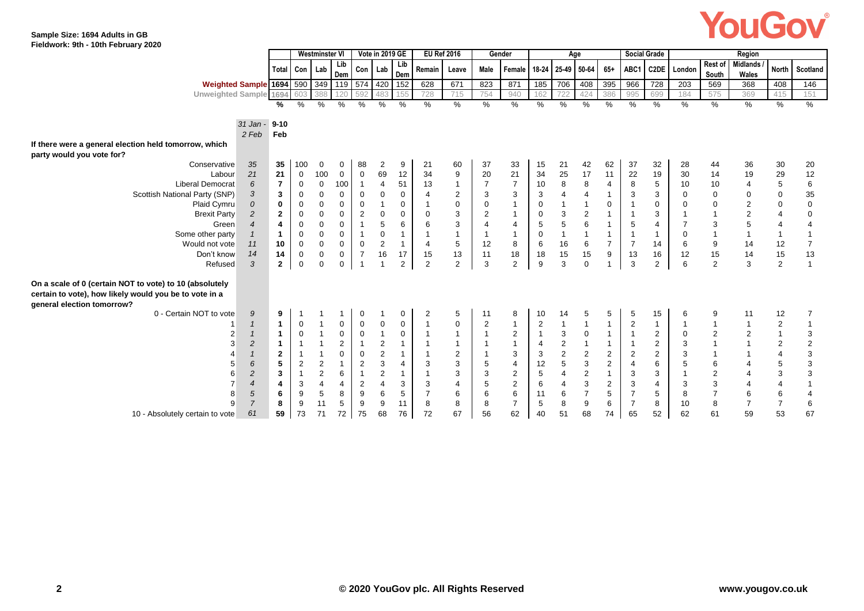# YouGov®

#### **Sample Size: 1694 Adults in GB Fieldwork: 9th - 10th February 2020**

|                                                                                                                                                 |                |                |                  | <b>Westminster VI</b>   |                |                         | Vote in 2019 GE |                |                | <b>EU Ref 2016</b> |                | Gender                   |                |                | Age                       |                         |                | <b>Social Grade</b> |             |                  | Region                   |                |                         |
|-------------------------------------------------------------------------------------------------------------------------------------------------|----------------|----------------|------------------|-------------------------|----------------|-------------------------|-----------------|----------------|----------------|--------------------|----------------|--------------------------|----------------|----------------|---------------------------|-------------------------|----------------|---------------------|-------------|------------------|--------------------------|----------------|-------------------------|
|                                                                                                                                                 |                | Total Con      |                  | Lab                     | Lib<br>Dem     | Con                     | Lab             | Lib<br>Dem     | Remain         | Leave              | Male           | Female 18-24 25-49 50-64 |                |                |                           | $65+$                   | ABC1           |                     | C2DE London | Rest of<br>South | <b>Midlands</b><br>Wales |                | North Scotland          |
| Weighted Sample 1694 590                                                                                                                        |                |                |                  | 349                     |                | 119 574 420             |                 | 152            | 628            | 671                | 823            | 871                      | 185            | 706            | 408                       | 395                     | 966            | 728                 | 203         | 569              | 368                      | 408            | 146                     |
| <b>Unweighted Sample 1694</b>                                                                                                                   |                |                | 603              | 388                     | 120            | 592                     | 483             | 155            | 728            | 715                | 754            | 940                      | 162            | 722            | 424                       | 386                     | 995            | 699                 | 184         | 575              | 369                      | 415            | 151                     |
|                                                                                                                                                 |                | %              | %                | %                       | %              | %                       | %               | $\frac{0}{0}$  | %              | %                  | $\%$           | %                        | %              | %              | %                         | %                       | %              | %                   | %           | %                | %                        | %              | $\frac{9}{6}$           |
|                                                                                                                                                 |                |                |                  |                         |                |                         |                 |                |                |                    |                |                          |                |                |                           |                         |                |                     |             |                  |                          |                |                         |
|                                                                                                                                                 | $31$ Jan -     | $9 - 10$       |                  |                         |                |                         |                 |                |                |                    |                |                          |                |                |                           |                         |                |                     |             |                  |                          |                |                         |
|                                                                                                                                                 | 2 Feb          | Feb            |                  |                         |                |                         |                 |                |                |                    |                |                          |                |                |                           |                         |                |                     |             |                  |                          |                |                         |
| If there were a general election held tomorrow, which                                                                                           |                |                |                  |                         |                |                         |                 |                |                |                    |                |                          |                |                |                           |                         |                |                     |             |                  |                          |                |                         |
| party would you vote for?                                                                                                                       |                |                |                  |                         |                |                         |                 |                |                |                    |                |                          |                |                |                           |                         |                |                     |             |                  |                          |                |                         |
| Conservative                                                                                                                                    | 35             | 35             | 100              | 0                       | 0              | 88                      | $\overline{2}$  | 9              | 21             | 60                 | 37             | 33                       | 15             | 21             | 42                        | 62                      | 37             | 32                  | 28          | 44               | 36                       | 30             | 20                      |
| Labour                                                                                                                                          | 21             | 21             | $\mathbf 0$      | 100                     | 0              | $\boldsymbol{0}$        | 69              | 12             | 34             | $\boldsymbol{9}$   | 20             | 21                       | 34             | 25             | 17                        | 11                      | 22             | 19                  | 30          | 14               | 19                       | 29             | 12                      |
| <b>Liberal Democrat</b>                                                                                                                         | 6              | $\overline{7}$ | $\mathbf 0$      | $\mathbf 0$             | 100            | $\overline{1}$          | 4               | 51             | 13             | $\mathbf{1}$       | 7              | $\overline{7}$           | 10             | 8              | 8                         | 4                       | 8              | 5                   | 10          | 10               | 4                        | 5              | $\,6\,$                 |
| Scottish National Party (SNP)                                                                                                                   | 3              | 3              | $\mathbf 0$      | $\mathbf 0$             | 0              | $\mathbf 0$             | 0               | $\mathbf 0$    | $\overline{4}$ | $\overline{2}$     | 3              | 3                        | 3              | 4              | $\overline{4}$            | $\mathbf{1}$            | 3              | 3                   | $\Omega$    | $\mathbf 0$      | 0                        | 0              | 35                      |
| Plaid Cymru                                                                                                                                     | $\overline{O}$ | $\bf{0}$       | $\mathbf 0$      | $\mathbf 0$             | 0              | $\mathbf 0$             |                 | 0              | $\mathbf{1}$   | $\mathbf 0$        | $\mathbf 0$    | $\overline{1}$           | 0              |                | $\overline{1}$            | $\mathbf 0$             |                | $\mathbf 0$         | $\Omega$    | $\mathbf 0$      | $\sqrt{2}$               | $\mathbf 0$    | $\pmb{0}$               |
| <b>Brexit Party</b>                                                                                                                             | $\overline{c}$ | $\mathbf{2}$   | $\mathbf 0$      | $\mathbf 0$             | 0              | $\overline{c}$          | 0               | 0              | $\mathbf 0$    | 3                  | $\overline{2}$ |                          | 0              | 3              | $\sqrt{2}$                |                         |                | 3                   |             | $\overline{1}$   | $\boldsymbol{2}$         | 4              | $\pmb{0}$               |
| Green                                                                                                                                           | $\overline{4}$ | 4              | $\mathbf 0$      | $\mathbf 0$             | 0              | $\overline{1}$          | 5               | 6              | 6              | 3                  | $\overline{4}$ | $\overline{4}$           | 5              | 5              | $\,6$                     |                         | 5              | $\overline{4}$      |             | 3                | 5                        | $\overline{4}$ | $\overline{4}$          |
| Some other party                                                                                                                                | $\mathbf{1}$   | $\mathbf{1}$   | $\mathbf 0$      | $\mathbf 0$             | 0              | $\overline{1}$          | $\mathbf 0$     | $\overline{1}$ | $\mathbf{1}$   | $\mathbf{1}$       |                |                          | 0              | $\mathbf{1}$   | $\overline{1}$            | $\overline{1}$          |                | $\mathbf{1}$        | $\mathbf 0$ | $\overline{1}$   |                          |                | $\overline{1}$          |
| Would not vote                                                                                                                                  | 11             | 10             | $\boldsymbol{0}$ | $\mathbf 0$             | 0              | $\mathbf 0$             | $\overline{2}$  | $\overline{1}$ | $\overline{4}$ | 5                  | 12             | 8                        | 6              | 16             | 6                         | $\overline{7}$          | $\overline{7}$ | 14                  | 6           | 9                | 14                       | 12             | $\boldsymbol{7}$        |
| Don't know                                                                                                                                      | 14             | 14             | $\mathbf 0$      | $\boldsymbol{0}$        | 0              | $\overline{7}$          | 16              | 17             | 15             | 13                 | 11             | 18                       | 18             | 15             | 15                        | 9                       | 13             | 16                  | 12          | 15               | 14                       | 15             | 13                      |
| Refused                                                                                                                                         | 3              | $\mathbf{2}$   | $\mathbf 0$      | $\overline{0}$          | 0              | $\overline{\mathbf{1}}$ |                 | $\overline{2}$ | $\overline{2}$ | $\overline{2}$     | 3              | $\overline{2}$           | 9              | 3              | $\mathbf 0$               |                         | 3              | $\overline{2}$      | 6           | 2                | 3                        | 2              | $\mathbf{1}$            |
|                                                                                                                                                 |                |                |                  |                         |                |                         |                 |                |                |                    |                |                          |                |                |                           |                         |                |                     |             |                  |                          |                |                         |
| On a scale of 0 (certain NOT to vote) to 10 (absolutely<br>certain to vote), how likely would you be to vote in a<br>general election tomorrow? |                |                |                  |                         |                |                         |                 |                |                |                    |                |                          |                |                |                           |                         |                |                     |             |                  |                          |                |                         |
| 0 - Certain NOT to vote                                                                                                                         | 9              | 9              |                  |                         | $\mathbf 1$    | 0                       |                 | 0              | 2              | 5                  | 11             | 8                        | 10             | 14             | 5                         | 5                       | 5              | 15                  | 6           | 9                | 11                       | 12             | 7                       |
|                                                                                                                                                 | $\overline{1}$ | $\mathbf{1}$   | $\overline{0}$   |                         | 0              | $\mathbf 0$             | 0               | 0              | $\overline{1}$ | $\mathbf 0$        | $\overline{2}$ | -1                       | $\overline{c}$ | $\overline{1}$ | $\overline{1}$            | $\mathbf{1}$            | $\sqrt{2}$     | $\mathbf{1}$        |             | $\overline{1}$   |                          | $\overline{2}$ | $\overline{1}$          |
|                                                                                                                                                 | $\overline{1}$ | $\mathbf{1}$   | $\mathbf 0$      | $\overline{1}$          | 0              | $\mathbf 0$             | $\overline{1}$  | $\mathbf 0$    | $\overline{1}$ | $\mathbf{1}$       | $\overline{1}$ | $\overline{2}$           | $\mathbf{1}$   | 3              | 0                         | $\mathbf{1}$            | $\mathbf{1}$   | $\overline{2}$      | $\mathbf 0$ | $\overline{2}$   | $\overline{c}$           | $\mathbf 1$    | 3                       |
| 3                                                                                                                                               | $\overline{c}$ | $\mathbf{1}$   | $\overline{1}$   |                         | $\overline{2}$ | $\overline{1}$          | $\overline{2}$  | $\mathbf{1}$   | $\mathbf{1}$   | $\mathbf{1}$       |                | $\overline{1}$           | 4              | $\overline{2}$ |                           | $\mathbf{1}$            |                | $\overline{2}$      | 3           | $\overline{1}$   |                          | 2              | $\overline{\mathbf{c}}$ |
|                                                                                                                                                 | $\overline{1}$ | $\mathbf{2}$   | -1               |                         | 0              | $\pmb{0}$               | $\overline{c}$  | $\overline{1}$ | $\mathbf{1}$   | $\overline{2}$     |                | 3                        | 3              | $\sqrt{2}$     | $\boldsymbol{2}$          | $\overline{\mathbf{c}}$ | $\sqrt{2}$     | $\overline{2}$      | 3           | $\overline{1}$   |                          | $\overline{4}$ | $\mathsf 3$             |
|                                                                                                                                                 | 6              | 5              | $\overline{2}$   | $\overline{\mathbf{c}}$ | $\mathbf{1}$   | $\overline{2}$          | 3               | $\overline{4}$ | 3              | 3                  | 5              | $\overline{4}$           | 12             | $\sqrt{5}$     | $\ensuremath{\mathsf{3}}$ | $\overline{2}$          | $\overline{4}$ | 6                   | 5           | $\,6\,$          | $\overline{4}$           | 5              | $\mathsf 3$             |
|                                                                                                                                                 | $\overline{c}$ | $\mathbf{3}$   | $\overline{1}$   | $\overline{c}$          | 6              | $\overline{1}$          | $\overline{c}$  | $\overline{1}$ | $\overline{1}$ | 3                  | 3              | $\overline{c}$           | $\overline{5}$ | $\overline{4}$ | $\sqrt{2}$                | $\mathbf{1}$            | 3              | 3                   |             | $\sqrt{2}$       | $\overline{4}$           | 3              | $\sqrt{3}$              |
|                                                                                                                                                 | $\overline{4}$ | 4              | 3                | $\overline{4}$          | 4              | $\overline{2}$          | 4               | 3              | 3              | 4                  | 5              | $\overline{2}$           | 6              | $\overline{4}$ | $\ensuremath{\mathsf{3}}$ | 2                       | 3              | $\overline{4}$      | 3           | $\sqrt{3}$       |                          | $\overline{4}$ | $\overline{1}$          |
|                                                                                                                                                 | $\sqrt{5}$     | 6              | 9                | 5                       | 8              | 9                       | 6               | 5              | $\overline{7}$ | 6                  | 6              | 6                        | 11             | 6              | $\overline{7}$            | 5                       | $\overline{7}$ | 5                   | 8           | $\overline{7}$   | 6                        | 6              | $\overline{4}$          |
| 9                                                                                                                                               | $\overline{7}$ | 8              | g                | 11                      | 5              | 9                       | 9               | 11             | 8              | 8                  | 8              | $\overline{7}$           | 5              | 8              | $\boldsymbol{9}$          | 6                       | $\overline{7}$ | 8                   | 10          | $\bf 8$          | $\overline{7}$           | $\overline{7}$ | $\,6\,$                 |
| 10 - Absolutely certain to vote                                                                                                                 | 61             | 59             | 73               | 71                      | 72             | 75                      | 68              | 76             | 72             | 67                 | 56             | 62                       | 40             | 51             | 68                        | 74                      | 65             | 52                  | 62          | 61               | 59                       | 53             | 67                      |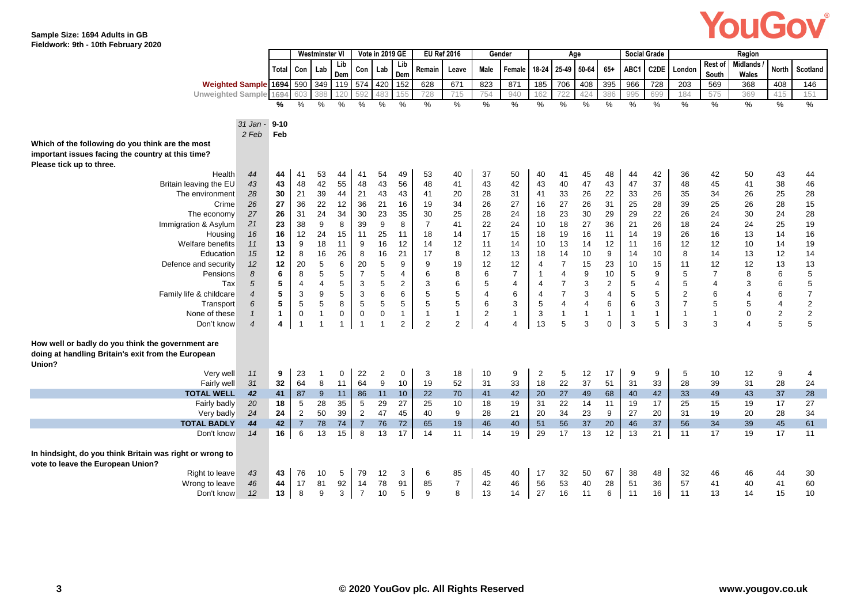## YouGov®

#### **Sample Size: 1694 Adults in GB Fieldwork: 9th - 10th February 2020**

|                                                           |              |                | <b>Westminster VI</b> |             |                           | Vote in 2019 GE |                | <b>EU Ref 2016</b> |                | Gender         |                |                   |                | Age            |                |                           | <b>Social Grade</b> |                         |                | Region          |                |                |
|-----------------------------------------------------------|--------------|----------------|-----------------------|-------------|---------------------------|-----------------|----------------|--------------------|----------------|----------------|----------------|-------------------|----------------|----------------|----------------|---------------------------|---------------------|-------------------------|----------------|-----------------|----------------|----------------|
|                                                           | Total        | Con            | Lab                   | Lib         | Con                       | Lab             | Lib            | Remain             | Leave          | Male           | Female         | 18-24 25-49 50-64 |                |                | $65+$          | ABC1                      | C2DE                | London                  | Rest of        | <b>Midlands</b> | <b>North</b>   | Scotland       |
| Weighted Sample 1694 590                                  |              |                | 349                   | Dem<br>119  | 574                       | 420 152         | Dem            | 628                | 671            | 823            | 871            | 185               | 706            | 408            | 395            | 966                       | 728                 | 203                     | South<br>569   | Wales<br>368    | 408            | 146            |
| Unweighted Sample 1694                                    |              |                | 388                   |             |                           | 483             |                | 728                | 715            | 754            | 940            | 162               |                | 424            | 386            | 995                       | 699                 | 184                     | 575            | 369             | 415            | 151            |
|                                                           | %            | $\%$           | $\%$                  | %           | %                         | %               | $\%$           | $\%$               | $\%$           | %              | $\%$           | %                 | $\%$           | %              | %              | $\%$                      | %                   | %                       | %              | %               | %              | %              |
|                                                           |              |                |                       |             |                           |                 |                |                    |                |                |                |                   |                |                |                |                           |                     |                         |                |                 |                |                |
| $31$ Jan -                                                | $9 - 10$     |                |                       |             |                           |                 |                |                    |                |                |                |                   |                |                |                |                           |                     |                         |                |                 |                |                |
| 2 Feb                                                     | Feb          |                |                       |             |                           |                 |                |                    |                |                |                |                   |                |                |                |                           |                     |                         |                |                 |                |                |
| Which of the following do you think are the most          |              |                |                       |             |                           |                 |                |                    |                |                |                |                   |                |                |                |                           |                     |                         |                |                 |                |                |
| important issues facing the country at this time?         |              |                |                       |             |                           |                 |                |                    |                |                |                |                   |                |                |                |                           |                     |                         |                |                 |                |                |
| Please tick up to three.                                  |              |                |                       |             |                           |                 |                |                    |                |                |                |                   |                |                |                |                           |                     |                         |                |                 |                |                |
| 44<br>Health                                              | 44           | 41             | 53                    | 44          | 41                        | 54              | 49             | 53                 | 40             | 37             | 50             | 40                | 41             | 45             | 48             | 44                        | 42                  | 36                      | 42             | 50              | 43             | 44             |
| Britain leaving the EU<br>43                              | 43           | 48             | 42                    | 55          | 48                        | 43              | 56             | 48                 | 41             | 43             | 42             | 43                | 40             | 47             | 43             | 47                        | 37                  | 48                      | 45             | 41              | 38             | 46             |
| The environment<br>28                                     | 30           | 21             | 39                    | 44          | 21                        | 43              | 43             | 41                 | 20             | 28             | 31             | 41                | 33             | 26             | 22             | 33                        | 26                  | 35                      | 34             | 26              | 25             | 28             |
| Crime<br>26                                               | 27           | 36             | 22                    | 12          | 36                        | 21              | 16             | 19                 | 34             | 26             | 27             | 16                | 27             | 26             | 31             | 25                        | 28                  | 39                      | 25             | 26              | 28             | 15             |
| 27<br>The economy                                         | 26           | 31             | 24                    | 34          | 30                        | 23              | 35             | 30                 | 25             | 28             | 24             | 18                | 23             | 30             | 29             | 29                        | 22                  | 26                      | 24             | 30              | 24             | 28             |
| Immigration & Asylum<br>21                                | 23           | 38             | 9                     | 8           | 39                        | 9               | 8              | $\overline{7}$     | 41             | 22             | 24             | 10                | 18             | 27             | 36             | 21                        | 26                  | 18                      | 24             | 24              | 25             | 19             |
| 16<br>Housing                                             | 16           | 12             | 24                    | 15          | 11                        | 25              | 11             | 18                 | 14             | 17             | 15             | 18                | 19             | 16             | 11             | 14                        | 19                  | 26                      | 16             | 13              | 14             | 16             |
| Welfare benefits<br>11                                    | 13           | 9              | 18                    | 11          | 9                         | 16              | 12             | 14                 | 12             | 11             | 14             | 10                | 13             | 14             | 12             | 11                        | 16                  | 12                      | 12             | 10              | 14             | 19             |
| 15<br>Education                                           | 12           | 8              | 16                    | 26          | 8                         | 16              | 21             | 17                 | 8              | 12             | 13             | 18                | 14             | 10             | 9              | 14                        | 10                  | 8                       | 14             | 13              | 12             | 14             |
| 12<br>Defence and security                                | 12           | 20             | 5                     | 6           | 20                        | 5               | 9              | 9                  | 19             | 12             | 12             | $\overline{4}$    | $\overline{7}$ | 15             | 23             | 10                        | 15                  | 11                      | 12             | 12              | 13             | 13             |
| 8<br>Pensions                                             | 6            | 8              | 5                     | $\,$ 5 $\,$ | $\overline{7}$            | $\mathbf 5$     | $\overline{4}$ | 6                  | 8              | 6              | $\overline{7}$ | $\mathbf 1$       | $\overline{4}$ | 9              | 10             | 5                         | 9                   | 5                       | $\overline{7}$ | 8               | 6              | 5              |
| 5<br>Tax                                                  | $\sqrt{5}$   | $\overline{4}$ | 4                     | 5           | $\ensuremath{\mathsf{3}}$ | $\mathbf 5$     | $\overline{2}$ | 3                  | 6              | 5              | $\overline{4}$ | $\overline{4}$    | $\overline{7}$ | 3              | $\overline{2}$ | 5                         | 4                   | 5                       | $\overline{4}$ | 3               | 6              | 5              |
| Family life & childcare<br>$\overline{4}$                 | 5            | 3              | 9                     | 5           | $\sqrt{3}$                | 6               | 6              | 5                  | 5              | 4              | 6              | 4                 | $\overline{7}$ | 3              | 4              | $\,$ 5 $\,$               | 5                   | $\overline{\mathbf{c}}$ | 6              |                 | 6              | $\overline{7}$ |
| 6<br>Transport                                            | 5            | $\sqrt{5}$     | 5                     | 8           | $\,$ 5 $\,$               | $\mathbf 5$     | 5              | 5                  | 5              | 6              | 3              | 5                 | $\overline{4}$ | $\overline{4}$ | 6              | 6                         | 3                   | $\overline{7}$          | $\sqrt{5}$     | 5               | $\overline{4}$ | $\mathbf 2$    |
| None of these<br>$\mathbf{1}$                             | $\mathbf{1}$ | $\mathbf 0$    | $\mathbf{1}$          | 0           | $\pmb{0}$                 | $\mathbf 0$     | $\mathbf{1}$   | $\mathbf{1}$       | $\mathbf{1}$   | $\overline{2}$ | $\mathbf{1}$   | 3                 | $\mathbf{1}$   | $\mathbf{1}$   | $\mathbf{1}$   | $\overline{1}$            | $\mathbf{1}$        | $\mathbf{1}$            | $\overline{1}$ | $\overline{0}$  | $\overline{c}$ | $\sqrt{2}$     |
| Don't know<br>$\overline{4}$                              | 4            | $\overline{1}$ |                       | 1           | $\overline{1}$            | $\mathbf{1}$    | $\overline{2}$ | $\overline{2}$     | $\overline{2}$ | $\overline{4}$ | 4              | 13                | 5              | 3              | $\mathbf 0$    | $\ensuremath{\mathsf{3}}$ | 5                   | 3                       | 3              |                 | 5              | 5              |
| How well or badly do you think the government are         |              |                |                       |             |                           |                 |                |                    |                |                |                |                   |                |                |                |                           |                     |                         |                |                 |                |                |
| doing at handling Britain's exit from the European        |              |                |                       |             |                           |                 |                |                    |                |                |                |                   |                |                |                |                           |                     |                         |                |                 |                |                |
| Union?                                                    |              |                |                       |             |                           |                 |                |                    |                |                |                |                   |                |                |                |                           |                     |                         |                |                 |                |                |
| 11<br>Very well                                           | 9            | 23             |                       | 0           | 22                        | $\overline{c}$  | $\mathbf 0$    | 3                  | 18             | 10             | 9              | $\overline{2}$    | 5              | 12             | 17             | 9                         | 9                   | 5                       | 10             | 12              | 9              | $\overline{4}$ |
| Fairly well<br>31                                         | 32           | 64             | 8                     | 11          | 64                        | 9               | 10             | 19                 | 52             | 31             | 33             | 18                | 22             | 37             | 51             | 31                        | 33                  | 28                      | 39             | 31              | 28             | 24             |
| 42<br><b>TOTAL WELL</b>                                   | 41           | 87             | 9                     | 11          | 86                        | 11              | 10             | 22                 | 70             | 41             | 42             | 20                | 27             | 49             | 68             | 40                        | 42                  | 33                      | 49             | 43              | 37             | 28             |
| Fairly badly<br>20                                        | 18           | 5              | 28                    | 35          | 5                         | 29              | 27             | 25                 | 10             | 18             | 19             | 31                | 22             | 14             | 11             | 19                        | 17                  | 25                      | 15             | 19              | 17             | 27             |
| 24<br>Very badly                                          | 24           | $\overline{2}$ | 50                    | 39          | $\overline{2}$            | 47              | 45             | 40                 | 9              | 28             | 21             | 20                | 34             | 23             | 9              | 27                        | 20                  | 31                      | 19             | 20              | 28             | 34             |
| <b>TOTAL BADLY</b><br>44                                  | 42           | $\overline{7}$ | 78                    | 74          | $\overline{7}$            | 76              | 72             | 65                 | 19             | 46             | 40             | 51                | 56             | 37             | 20             | 46                        | 37                  | 56                      | 34             | 39              | 45             | 61             |
| Don't know<br>14                                          | 16           | 6              | 13                    | 15          | 8                         | 13              | 17             | 14                 | 11             | 14             | 19             | 29                | 17             | 13             | 12             | 13                        | 21                  | 11                      | 17             | 19              | 17             | 11             |
|                                                           |              |                |                       |             |                           |                 |                |                    |                |                |                |                   |                |                |                |                           |                     |                         |                |                 |                |                |
| In hindsight, do you think Britain was right or wrong to  |              |                |                       |             |                           |                 |                |                    |                |                |                |                   |                |                |                |                           |                     |                         |                |                 |                |                |
| vote to leave the European Union?<br>43<br>Right to leave | 43           | 76             | 10                    | 5           | 79                        | 12              | 3              | 6                  | 85             | 45             | 40             | 17                | 32             | 50             | 67             | 38                        | 48                  | 32                      | 46             | 46              | 44             | 30             |
| 46<br>Wrong to leave                                      | 44           | 17             | 81                    | 92          | 14                        | 78              | 91             | 85                 | $\overline{7}$ | 42             | 46             | 56                | 53             | 40             | 28             | 51                        | 36                  | 57                      | 41             | 40              | 41             | 60             |
| 12<br>Don't know                                          | 13           | 8              | 9                     | 3           | $\overline{7}$            | 10              | 5              | 9                  | 8              | 13             | 14             | 27                | 16             | 11             | 6              | 11                        | 16                  | 11                      | 13             | 14              | 15             | 10             |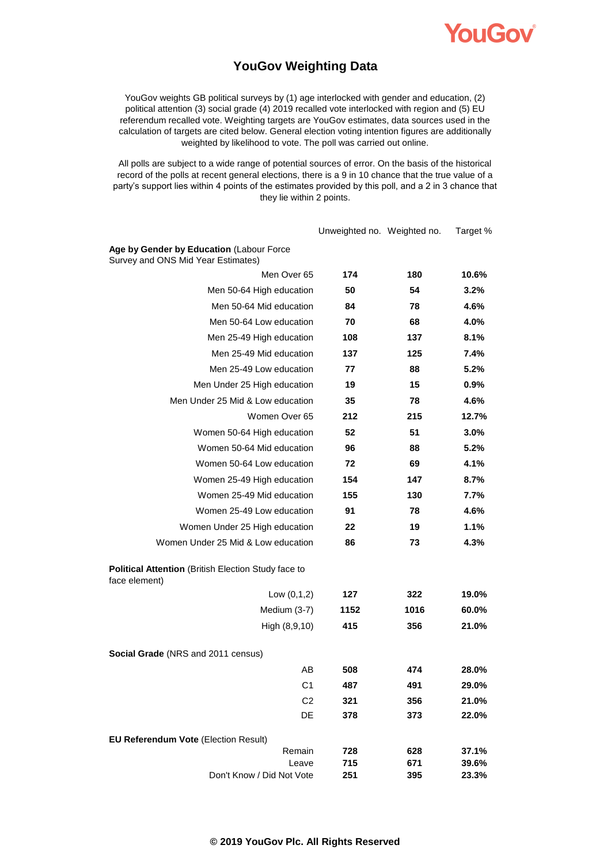

### **YouGov Weighting Data**

YouGov weights GB political surveys by (1) age interlocked with gender and education, (2) political attention (3) social grade (4) 2019 recalled vote interlocked with region and (5) EU referendum recalled vote. Weighting targets are YouGov estimates, data sources used in the calculation of targets are cited below. General election voting intention figures are additionally weighted by likelihood to vote. The poll was carried out online.

All polls are subject to a wide range of potential sources of error. On the basis of the historical record of the polls at recent general elections, there is a 9 in 10 chance that the true value of a party's support lies within 4 points of the estimates provided by this poll, and a 2 in 3 chance that they lie within 2 points.

|                                                                                | Unweighted no. Weighted no. |            | Target %       |
|--------------------------------------------------------------------------------|-----------------------------|------------|----------------|
| Age by Gender by Education (Labour Force<br>Survey and ONS Mid Year Estimates) |                             |            |                |
| Men Over 65                                                                    | 174                         | 180        | 10.6%          |
| Men 50-64 High education                                                       | 50                          | 54         | 3.2%           |
| Men 50-64 Mid education                                                        | 84                          | 78         | 4.6%           |
| Men 50-64 Low education                                                        | 70                          | 68         | 4.0%           |
| Men 25-49 High education                                                       | 108                         | 137        | 8.1%           |
| Men 25-49 Mid education                                                        | 137                         | 125        | 7.4%           |
| Men 25-49 Low education                                                        | 77                          | 88         | 5.2%           |
| Men Under 25 High education                                                    | 19                          | 15         | 0.9%           |
| Men Under 25 Mid & Low education                                               | 35                          | 78         | 4.6%           |
| Women Over 65                                                                  | 212                         | 215        | 12.7%          |
| Women 50-64 High education                                                     | 52                          | 51         | 3.0%           |
| Women 50-64 Mid education                                                      | 96                          | 88         | 5.2%           |
| Women 50-64 Low education                                                      | 72                          | 69         | 4.1%           |
| Women 25-49 High education                                                     | 154                         | 147        | 8.7%           |
| Women 25-49 Mid education                                                      | 155                         | 130        | 7.7%           |
| Women 25-49 Low education                                                      | 91                          | 78         | 4.6%           |
| Women Under 25 High education                                                  | 22                          | 19         | 1.1%           |
| Women Under 25 Mid & Low education                                             | 86                          | 73         | 4.3%           |
| Political Attention (British Election Study face to<br>face element)           |                             |            |                |
| Low $(0,1,2)$                                                                  | 127                         | 322        | 19.0%          |
| Medium (3-7)                                                                   | 1152                        | 1016       | 60.0%          |
| High (8,9,10)                                                                  | 415                         | 356        | 21.0%          |
| <b>Social Grade</b> (NRS and 2011 census)                                      |                             |            |                |
| AВ                                                                             | 508                         | 474        | 28.0%          |
| C <sub>1</sub>                                                                 | 487                         | 491        | 29.0%          |
| C <sub>2</sub>                                                                 | 321                         | 356        | 21.0%          |
| DE                                                                             | 378                         | 373        | 22.0%          |
| EU Referendum Vote (Election Result)                                           |                             |            |                |
| Remain                                                                         | 728                         | 628        | 37.1%          |
| Leave<br>Don't Know / Did Not Vote                                             | 715<br>251                  | 671<br>395 | 39.6%<br>23.3% |
|                                                                                |                             |            |                |